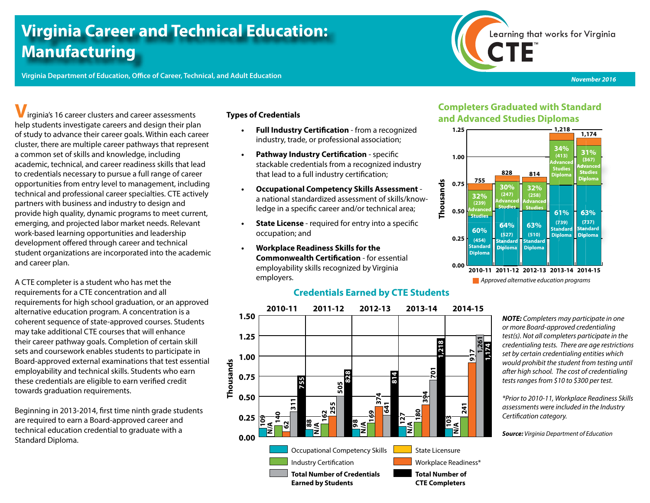# **Virginia Career and Technical Education: Manufacturing**

**Virginia Department of Education, Office of Career, Technical, and Adult Education**



*November 2016*

**V**irginia's 16 career clusters and career assessments help students investigate careers and design their plan of study to advance their career goals. Within each career cluster, there are multiple career pathways that represent a common set of skills and knowledge, including academic, technical, and career readiness skills that lead to credentials necessary to pursue a full range of career opportunities from entry level to management, including technical and professional career specialties. CTE actively partners with business and industry to design and provide high quality, dynamic programs to meet current, emerging, and projected labor market needs. Relevant work-based learning opportunities and leadership development offered through career and technical student organizations are incorporated into the academic and career plan.

A CTE completer is a student who has met the requirements for a CTE concentration and all requirements for high school graduation, or an approved alternative education program. A concentration is a coherent sequence of state-approved courses. Students may take additional CTE courses that will enhance their career pathway goals. Completion of certain skill sets and coursework enables students to participate in Board-approved external examinations that test essential employability and technical skills. Students who earn these credentials are eligible to earn verified credit towards graduation requirements.

Beginning in 2013-2014, first time ninth grade students are required to earn a Board-approved career and technical education credential to graduate with a Standard Diploma.

#### **Types of Credentials**

- **• Full Industry Certification** from a recognized industry, trade, or professional association;
- **• Pathway Industry Certification** specific stackable credentials from a recognized industry that lead to a full industry certification;
- **• Occupational Competency Skills Assessment** a national standardized assessment of skills/knowledge in a specific career and/or technical area;
- **• State License**  required for entry into a specific occupation; and
- **• Workplace Readiness Skills for the Commonwealth Certification** - for essential employability skills recognized by Virginia employers.

### **Credentials Earned by CTE Students**



### **Completers Graduated with Standard and Advanced Studies Diplomas**



*NOTE: Completers may participate in one or more Board-approved credentialing test(s). Not all completers participate in the credentialing tests. There are age restrictions set by certain credentialing entities which would prohibit the student from testing until after high school. The cost of credentialing tests ranges from \$10 to \$300 per test.* 

*\*Prior to 2010-11, Workplace Readiness Skills assessments were included in the Industry Certification category.*

*Source: Virginia Department of Education*